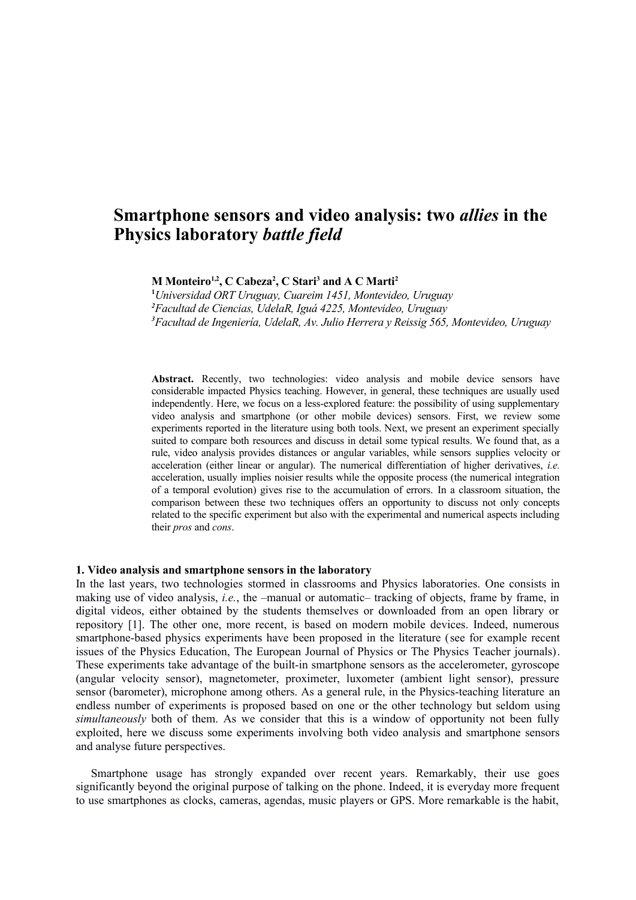# **Smartphone sensors and video analysis: two** *allies* **in the Physics laboratory** *battle field*

**M Monteiro1,2, C Cabeza<sup>2</sup> , C Stari<sup>3</sup> and A C Marti<sup>2</sup>**

**<sup>1</sup>***Universidad ORT Uruguay, Cuareim 1451, Montevideo, Uruguay <sup>2</sup>Facultad de Ciencias, UdelaR, Iguá 4225, Montevideo, Uruguay <sup>3</sup>Facultad de Ingeniería, UdelaR, Av. Julio Herrera y Reissig 565, Montevideo, Uruguay*

**Abstract.** Recently, two technologies: video analysis and mobile device sensors have considerable impacted Physics teaching. However, in general, these techniques are usually used independently. Here, we focus on a less-explored feature: the possibility of using supplementary video analysis and smartphone (or other mobile devices) sensors. First, we review some experiments reported in the literature using both tools. Next, we present an experiment specially suited to compare both resources and discuss in detail some typical results. We found that, as a rule, video analysis provides distances or angular variables, while sensors supplies velocity or acceleration (either linear or angular). The numerical differentiation of higher derivatives, *i.e.* acceleration, usually implies noisier results while the opposite process (the numerical integration of a temporal evolution) gives rise to the accumulation of errors. In a classroom situation, the comparison between these two techniques offers an opportunity to discuss not only concepts related to the specific experiment but also with the experimental and numerical aspects including their *pros* and *cons*.

### **1. Video analysis and smartphone sensors in the laboratory**

In the last years, two technologies stormed in classrooms and Physics laboratories. One consists in making use of video analysis, *i.e.*, the –manual or automatic– tracking of objects, frame by frame, in digital videos, either obtained by the students themselves or downloaded from an open library or repository [1]. The other one, more recent, is based on modern mobile devices. Indeed, numerous smartphone-based physics experiments have been proposed in the literature (see for example recent issues of the Physics Education, The European Journal of Physics or The Physics Teacher journals). These experiments take advantage of the built-in smartphone sensors as the accelerometer, gyroscope (angular velocity sensor), magnetometer, proximeter, luxometer (ambient light sensor), pressure sensor (barometer), microphone among others. As a general rule, in the Physics-teaching literature an endless number of experiments is proposed based on one or the other technology but seldom using *simultaneously* both of them. As we consider that this is a window of opportunity not been fully exploited, here we discuss some experiments involving both video analysis and smartphone sensors and analyse future perspectives.

Smartphone usage has strongly expanded over recent years. Remarkably, their use goes significantly beyond the original purpose of talking on the phone. Indeed, it is everyday more frequent to use smartphones as clocks, cameras, agendas, music players or GPS. More remarkable is the habit,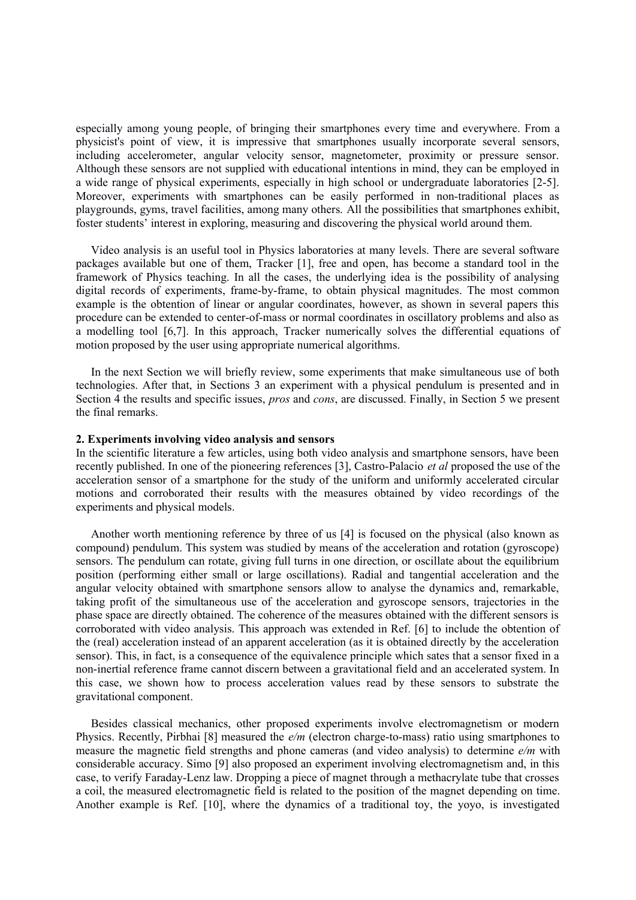especially among young people, of bringing their smartphones every time and everywhere. From a physicist's point of view, it is impressive that smartphones usually incorporate several sensors, including accelerometer, angular velocity sensor, magnetometer, proximity or pressure sensor. Although these sensors are not supplied with educational intentions in mind, they can be employed in a wide range of physical experiments, especially in high school or undergraduate laboratories [2-5]. Moreover, experiments with smartphones can be easily performed in non-traditional places as playgrounds, gyms, travel facilities, among many others. All the possibilities that smartphones exhibit, foster students' interest in exploring, measuring and discovering the physical world around them.

Video analysis is an useful tool in Physics laboratories at many levels. There are several software packages available but one of them, Tracker [1], free and open, has become a standard tool in the framework of Physics teaching. In all the cases, the underlying idea is the possibility of analysing digital records of experiments, frame-by-frame, to obtain physical magnitudes. The most common example is the obtention of linear or angular coordinates, however, as shown in several papers this procedure can be extended to center-of-mass or normal coordinates in oscillatory problems and also as a modelling tool [6,7]. In this approach, Tracker numerically solves the differential equations of motion proposed by the user using appropriate numerical algorithms.

In the next Section we will briefly review, some experiments that make simultaneous use of both technologies. After that, in Sections 3 an experiment with a physical pendulum is presented and in Section 4 the results and specific issues, *pros* and *cons*, are discussed. Finally, in Section 5 we present the final remarks.

## **2. Experiments involving video analysis and sensors**

In the scientific literature a few articles, using both video analysis and smartphone sensors, have been recently published. In one of the pioneering references [3], Castro-Palacio *et al* proposed the use of the acceleration sensor of a smartphone for the study of the uniform and uniformly accelerated circular motions and corroborated their results with the measures obtained by video recordings of the experiments and physical models.

Another worth mentioning reference by three of us [4] is focused on the physical (also known as compound) pendulum. This system was studied by means of the acceleration and rotation (gyroscope) sensors. The pendulum can rotate, giving full turns in one direction, or oscillate about the equilibrium position (performing either small or large oscillations). Radial and tangential acceleration and the angular velocity obtained with smartphone sensors allow to analyse the dynamics and, remarkable, taking profit of the simultaneous use of the acceleration and gyroscope sensors, trajectories in the phase space are directly obtained. The coherence of the measures obtained with the different sensors is corroborated with video analysis. This approach was extended in Ref. [6] to include the obtention of the (real) acceleration instead of an apparent acceleration (as it is obtained directly by the acceleration sensor). This, in fact, is a consequence of the equivalence principle which sates that a sensor fixed in a non-inertial reference frame cannot discern between a gravitational field and an accelerated system. In this case, we shown how to process acceleration values read by these sensors to substrate the gravitational component.

Besides classical mechanics, other proposed experiments involve electromagnetism or modern Physics. Recently, Pirbhai [8] measured the *e/m* (electron charge-to-mass) ratio using smartphones to measure the magnetic field strengths and phone cameras (and video analysis) to determine *e/m* with considerable accuracy. Simo [9] also proposed an experiment involving electromagnetism and, in this case, to verify Faraday-Lenz law. Dropping a piece of magnet through a methacrylate tube that crosses a coil, the measured electromagnetic field is related to the position of the magnet depending on time. Another example is Ref. [10], where the dynamics of a traditional toy, the yoyo, is investigated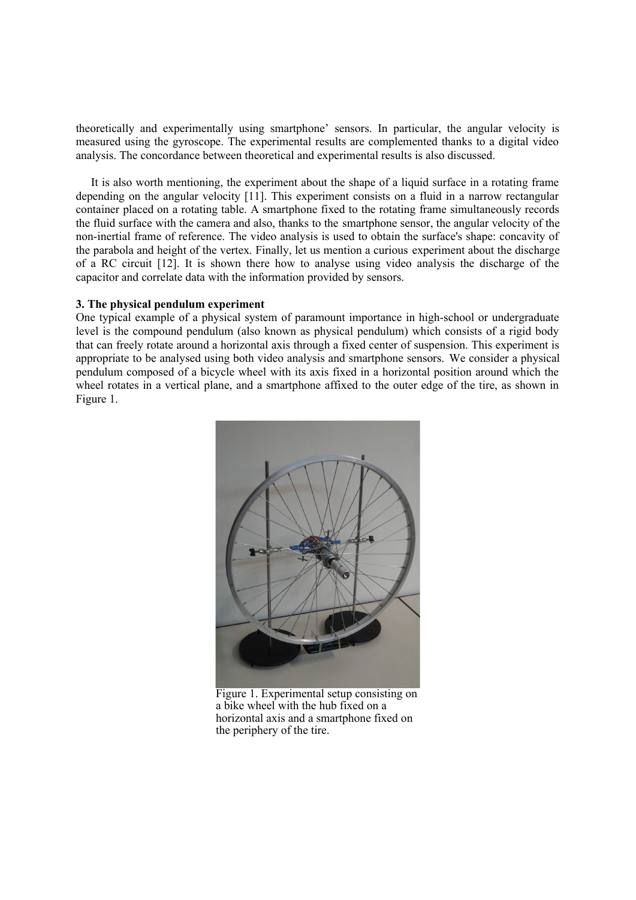theoretically and experimentally using smartphone' sensors. In particular, the angular velocity is measured using the gyroscope. The experimental results are complemented thanks to a digital video analysis. The concordance between theoretical and experimental results is also discussed.

It is also worth mentioning, the experiment about the shape of a liquid surface in a rotating frame depending on the angular velocity [11]. This experiment consists on a fluid in a narrow rectangular container placed on a rotating table. A smartphone fixed to the rotating frame simultaneously records the fluid surface with the camera and also, thanks to the smartphone sensor, the angular velocity of the non-inertial frame of reference. The video analysis is used to obtain the surface's shape: concavity of the parabola and height of the vertex. Finally, let us mention a curious experiment about the discharge of a RC circuit [12]. It is shown there how to analyse using video analysis the discharge of the capacitor and correlate data with the information provided by sensors.

#### **3. The physical pendulum experiment**

One typical example of a physical system of paramount importance in high-school or undergraduate level is the compound pendulum (also known as physical pendulum) which consists of a rigid body that can freely rotate around a horizontal axis through a fixed center of suspension. This experiment is appropriate to be analysed using both video analysis and smartphone sensors. We consider a physical pendulum composed of a bicycle wheel with its axis fixed in a horizontal position around which the wheel rotates in a vertical plane, and a smartphone affixed to the outer edge of the tire, as shown in Figure 1.



Figure 1. Experimental setup consisting on a bike wheel with the hub fixed on a horizontal axis and a smartphone fixed on the periphery of the tire.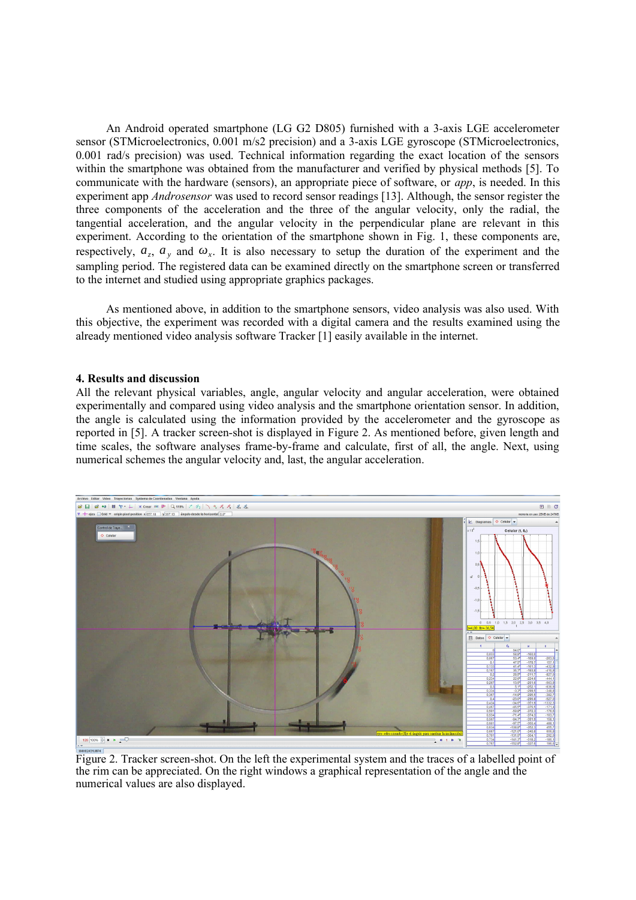An Android operated smartphone (LG G2 D805) furnished with a 3-axis LGE accelerometer sensor (STMicroelectronics, 0.001 m/s2 precision) and a 3-axis LGE gyroscope (STMicroelectronics, 0.001 rad/s precision) was used. Technical information regarding the exact location of the sensors within the smartphone was obtained from the manufacturer and verified by physical methods [5]. To communicate with the hardware (sensors), an appropriate piece of software, or *app*, is needed. In this experiment app *Androsensor* was used to record sensor readings [13]. Although, the sensor register the three components of the acceleration and the three of the angular velocity, only the radial, the tangential acceleration, and the angular velocity in the perpendicular plane are relevant in this experiment. According to the orientation of the smartphone shown in Fig. 1, these components are, respectively,  $a_z$ ,  $a_y$  and  $\omega_x$ . It is also necessary to setup the duration of the experiment and the sampling period. The registered data can be examined directly on the smartphone screen or transferred to the internet and studied using appropriate graphics packages.

As mentioned above, in addition to the smartphone sensors, video analysis was also used. With this objective, the experiment was recorded with a digital camera and the results examined using the already mentioned video analysis software Tracker [1] easily available in the internet.

#### **4. Results and discussion**

All the relevant physical variables, angle, angular velocity and angular acceleration, were obtained experimentally and compared using video analysis and the smartphone orientation sensor. In addition, the angle is calculated using the information provided by the accelerometer and the gyroscope as reported in [5]. A tracker screen-shot is displayed in Figure 2. As mentioned before, given length and time scales, the software analyses frame-by-frame and calculate, first of all, the angle. Next, using numerical schemes the angular velocity and, last, the angular acceleration.



Figure 2. Tracker screen-shot. On the left the experimental system and the traces of a labelled point of the rim can be appreciated. On the right windows a graphical representation of the angle and the numerical values are also displayed.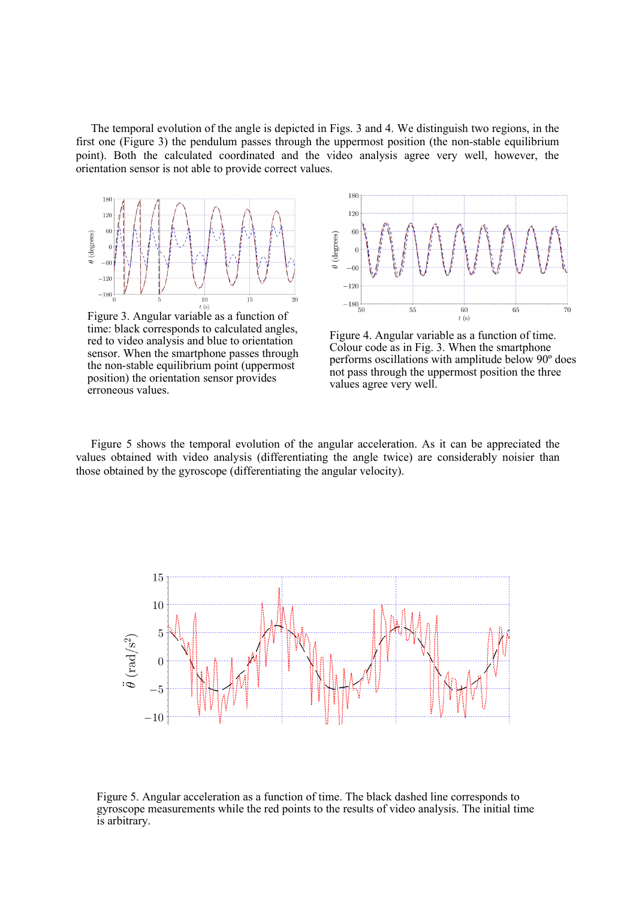The temporal evolution of the angle is depicted in Figs. 3 and 4. We distinguish two regions, in the first one (Figure 3) the pendulum passes through the uppermost position (the non-stable equilibrium point). Both the calculated coordinated and the video analysis agree very well, however, the orientation sensor is not able to provide correct values.



Figure 3. Angular variable as a function of time: black corresponds to calculated angles, red to video analysis and blue to orientation sensor. When the smartphone passes through the non-stable equilibrium point (uppermost position) the orientation sensor provides erroneous values.



Figure 4. Angular variable as a function of time. Colour code as in Fig. 3. When the smartphone performs oscillations with amplitude below 90º does not pass through the uppermost position the three values agree very well.

Figure 5 shows the temporal evolution of the angular acceleration. As it can be appreciated the values obtained with video analysis (differentiating the angle twice) are considerably noisier than those obtained by the gyroscope (differentiating the angular velocity).



Figure 5. Angular acceleration as a function of time. The black dashed line corresponds to gyroscope measurements while the red points to the results of video analysis. The initial time is arbitrary.